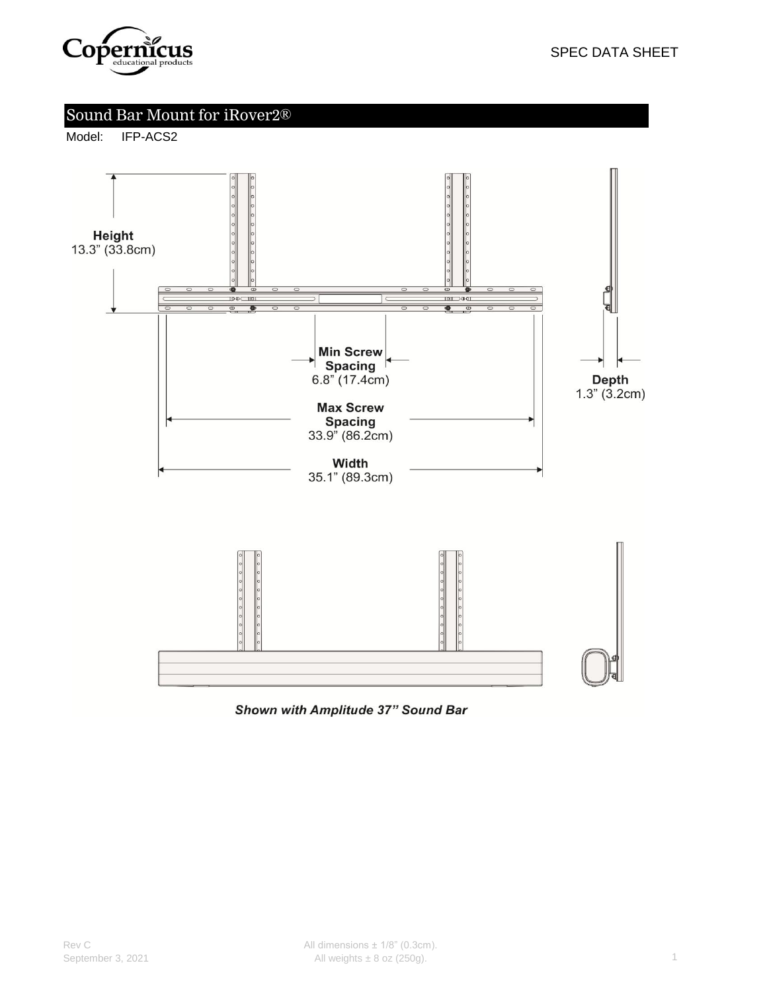

# Sound Bar Mount for iRover2®

Model: IFP-ACS2



Shown with Amplitude 37" Sound Bar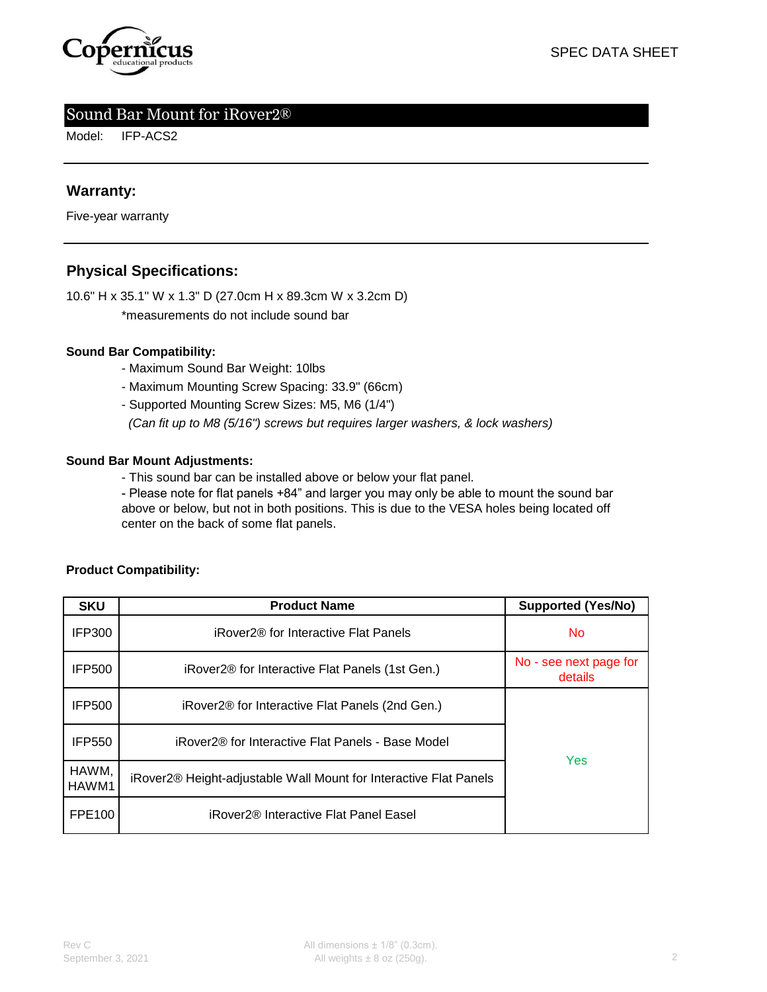

### Sound Bar Mount for iRover2®

Model: IFP-ACS2

### **Warranty:**

Five-year warranty

### **Physical Specifications:**

\*measurements do not include sound bar 10.6" H x 35.1" W x 1.3" D (27.0cm H x 89.3cm W x 3.2cm D)

#### **Sound Bar Compatibility:**

- Maximum Sound Bar Weight: 10lbs
- Maximum Mounting Screw Spacing: 33.9" (66cm)
- Supported Mounting Screw Sizes: M5, M6 (1/4")

 *(Can fit up to M8 (5/16") screws but requires larger washers, & lock washers)*

#### **Sound Bar Mount Adjustments:**

- This sound bar can be installed above or below your flat panel.

- Please note for flat panels +84" and larger you may only be able to mount the sound bar above or below, but not in both positions. This is due to the VESA holes being located off center on the back of some flat panels.

#### **Product Compatibility:**

| <b>SKU</b>     | <b>Product Name</b>                                                           | <b>Supported (Yes/No)</b>         |
|----------------|-------------------------------------------------------------------------------|-----------------------------------|
| <b>IFP300</b>  | iRover2® for Interactive Flat Panels                                          | No.                               |
| <b>IFP500</b>  | iRover2 <sup>®</sup> for Interactive Flat Panels (1st Gen.)                   | No - see next page for<br>details |
| <b>IFP500</b>  | iRover2 <sup>®</sup> for Interactive Flat Panels (2nd Gen.)                   |                                   |
| <b>IFP550</b>  | iRover2® for Interactive Flat Panels - Base Model                             | Yes                               |
| HAWM,<br>HAWM1 | iRover2 <sup>®</sup> Height-adjustable Wall Mount for Interactive Flat Panels |                                   |
| FPE100         | iRover2 <sup>®</sup> Interactive Flat Panel Easel                             |                                   |